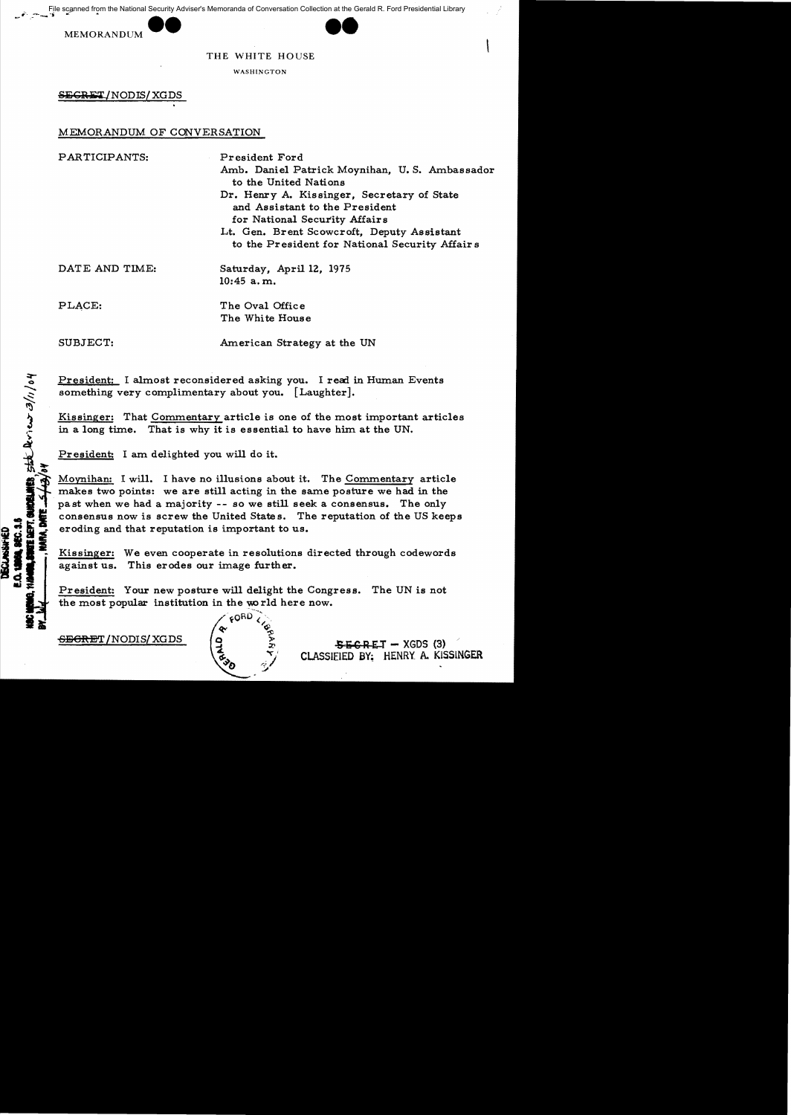File scanned from the National Security Adviser's Memoranda of Conversation Collection at the Gerald R. Ford Presidential Library<br>MEMORANDUM **EMORANDUM** 





THE WHITE HOUSE

WASHINGTON

SEGRET/NODIS/XGDS

# MEMORANDUM OF CONVERSATION

PARTICIPANTS: President Ford Amb. Daniel Patrick Moynihan. U. S. Ambassador to the United Nations Dr. Henry A. Kissinger. Secretary of State and Assistant to the President for National Security Affairs Lt. Gen. Brent Scowcroft. Deputy Assistant to the President for National Security Affair s

DATE AND TIME:

Saturday, April 12, 1975 10:45 a. m.

PLACE:

ho/<sup>1</sup>

 $\frac{1}{2}$ 

 $\frac{1}{2}$ '>

**8.1114**<br>0.1144

The Oval Office The White Hous e

SUBJECT:

American Strategy at the UN

President: I almost reconsidered asking you. I read in Human Events something very complimentary about you. [Laughter].

Kissinger: That Commentary article is one of the most important articles in a long time. That is why it is essential to have him at the UN.

President: I am delighted you will do it.

**DECLASSIFIED<br>0. 1999, SEC. 3.5**<br>1940, SWOTE DEFT, OL<br>**1940, PARA, DATE** Movnihan: I will. I have no illusions about it. The Commentary article makes two points: we are still acting in the same posture we had in the past when we had a majority -- so we still seek a consensus. The only consensus now is screw the United State s. The reputation of the US keeps eroding and that reputation is important to us.

Kissinger: We even cooperate in resolutions directed through codewords against us. This erodes our image further.

President: Your new posture will delight the Congress. The UN is not the most popular institution in the world here now.

<del>SECRE</del>T / NODIS/ XGDS



 $S$  R E T  $-$  XGDS (3) ClASSIEIED BY; HENRY A. KISSINGER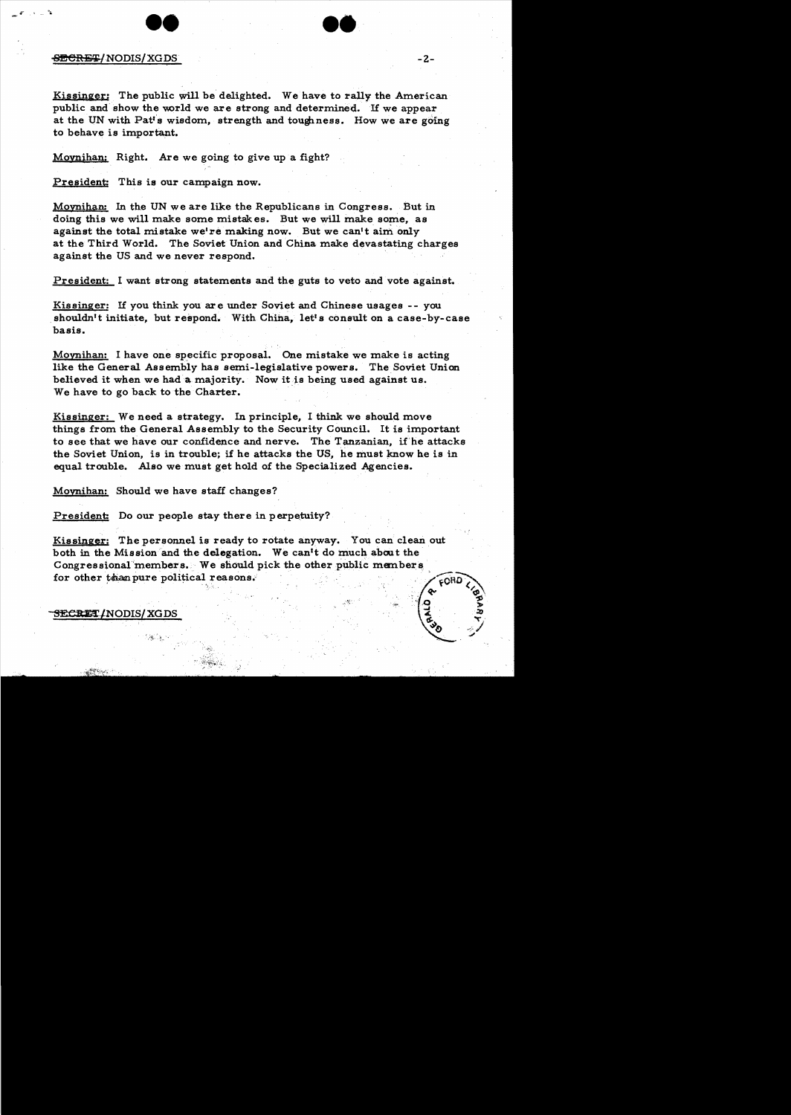

**e.** 

### SECRET/NODIS/XGDS

Kissinger: The public will be delighted. We have to rally the American public and show the world we are strong and determined. If we appear at the UN with Patt's wisdom, strength and toughness. How we are going to behave is important.

Movnihan; Right. Are we going to give up a fight?

President: This is our campaign now.

Moynihan: In the UN we are like the Republicans in Congress. But in doing this we will make some mistakes. But we will make some, as against the total mistake we're making now. But we can't aim only at the Third World. The Soviet Union and China make devastating charges against the US and we never respond.

President: I want strong statements and the guts to veto and vote against.

Kissinger: If you think you are under Soviet and Chinese usages -- you shouldn't initiate, but respond. With China, let's consult on a case-by-case basis.

Movnihan: I have one specific proposal. One mistake we make is acting like the General Assembly has semi-legislative powers. The Soviet Union believed it when we had a majority. Now it is being used against us. We have to go back to the Charter.

Kissinger: We need a strategy. In principle, I think we should move things from the General Assembly to the Security Council. It is important to see that we have our confidence and nerve. The Tanzanian, if'he attacks the Soviet Union, is in trouble; if he attacks the US, he must know he is in equal trouble. Also we must get hold of the Specialized Agencies.

Moynihan: Should we have staff changes?

President: Do our people stay there in perpetuity?

Kissinger: The personnel is ready to rotate anyway. You can clean out both in the Mission and the delegation. We can't do much about the Congressional members. We should pick the other-public members for other than pure political reasons.  $\overline{CORD}$ 

SECRET/NODIS/XGDS

 $\sim$   $\sim$   $\sim$ 

 $v_{\odot}$  -/ J

 $\sim$  10  $\sim$  3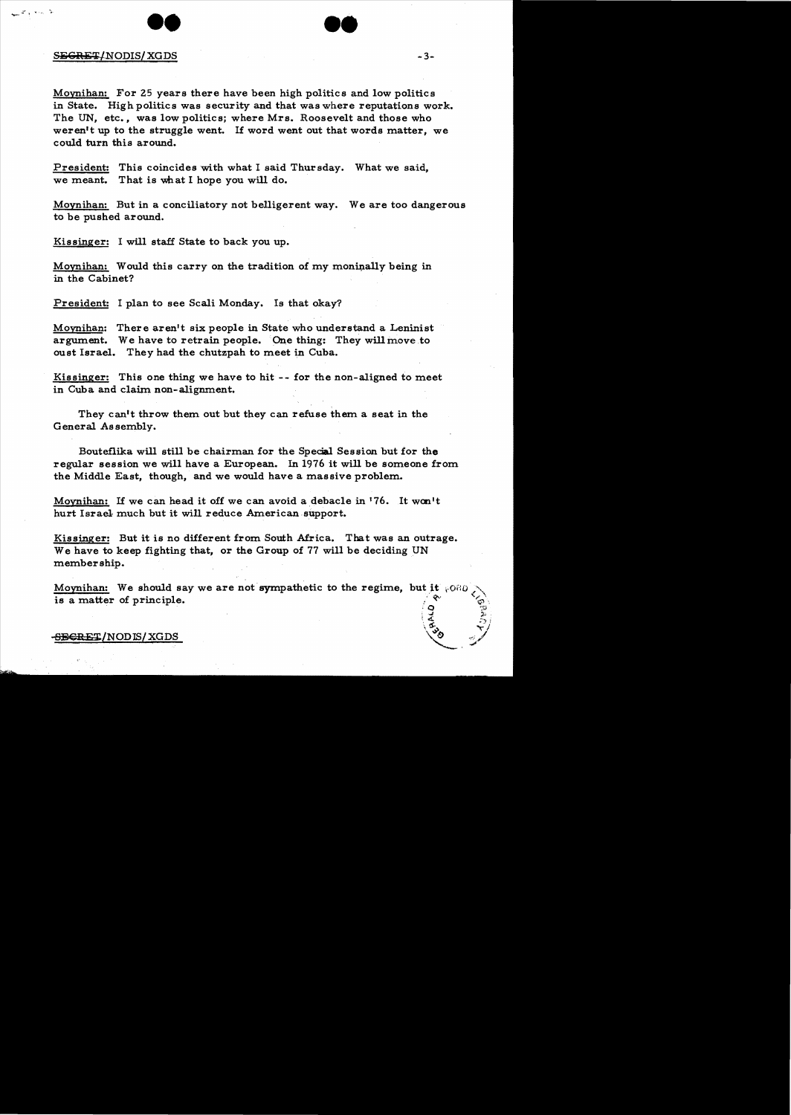



Moynihan: For 25 years there have been high politics and low politics in State. High politics was security and that was where reputations work. The UN, etc., was low politics; where Mrs. Roosevelt and those who weren't up to the struggle went. If word went out that words matter, we could turn this around.

President: This coincides with what I said Thursday. What we said, we meant. That is what I hope you will do.

Moynihan: But in a conciliatory not belligerent way. We are too dangerous to be pushed around.

Kissinger: I will staff State to back you up.

Moynihan: Would this carry on the tradition of my moninally being in in the Cabinet?

President: I plan to see Scali Monday. Is that okay?

Moynihan: There aren't six people in State who understand a Leninist argument. We have to retrain people. One thing: They will move to oust Israel. They had the chutzpah to meet in Cuba.

Kissinger: This one thing we have to hit -- for the non-aligned to meet in Cuba and claim non-alignment.

They can't throw them out but they can refuse them a seat in the General Assembly.

Boutef1ika will still be chairman for the Special Session but for the regular session we will have a European. In 1976 it will be someone from the Middle East, though, and we would have a massive problem.

Moynihan: If we can head it off we can avoid a debacle in '76. It won't hurt Israel much but it will reduce American support.

Kissinger: But it is no different from South Africa. That was an outrage. We have to keep fighting that, or the Group of 77 will be deciding UN membership.

Moynihan: We should say we are not sympathetic to the regime, but it  $\sqrt{600}$ is a matter of principle.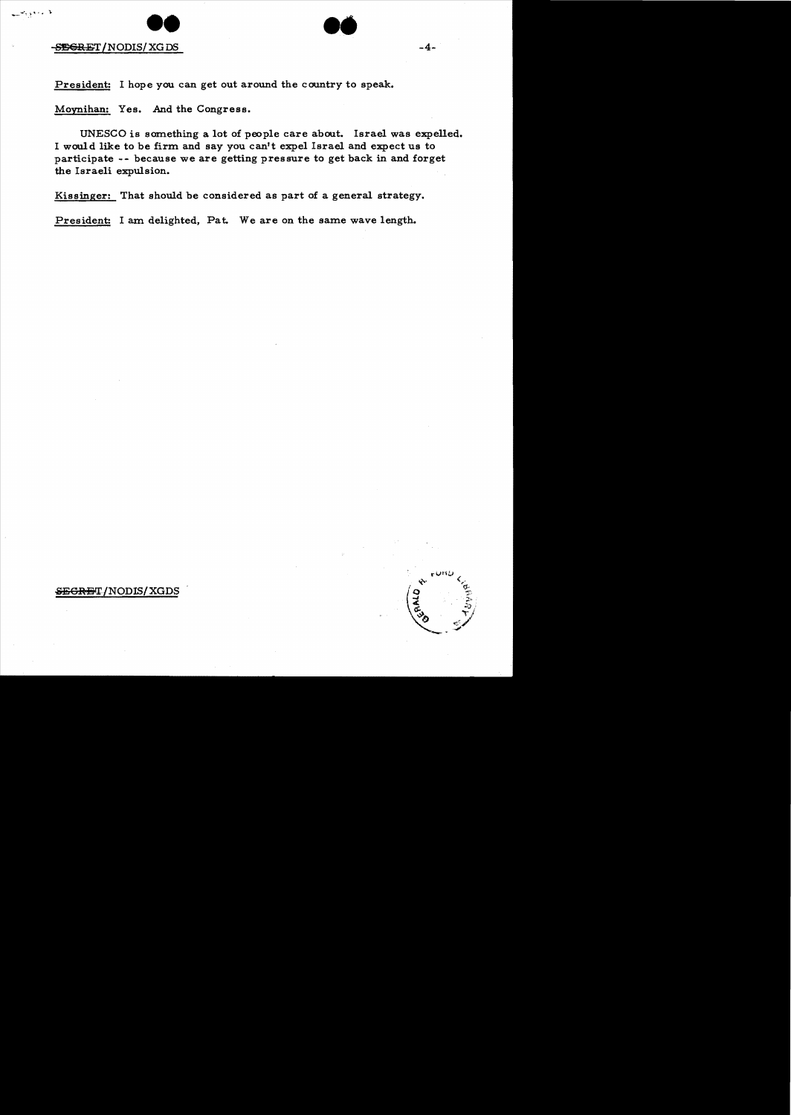

**CONSEGRET/NODIS/XGDS** -4

--",\.~ ... ., ).

President: I hope you can get out around the country to speak.

Moynihan: Yes. And the Congress.

UNESCO is something a lot of people care about. Israel was expelled. I waul d like to be firm and say you can't expel Israel and expect us to participate - - because we are getting pressure to get back in and forget the Israeli expulsion.

Kissinger: That should be considered as part of a general strategy.

President: I am delighted, Pat. We are on the same wave length.

# SEGRET/NODIS/XGDS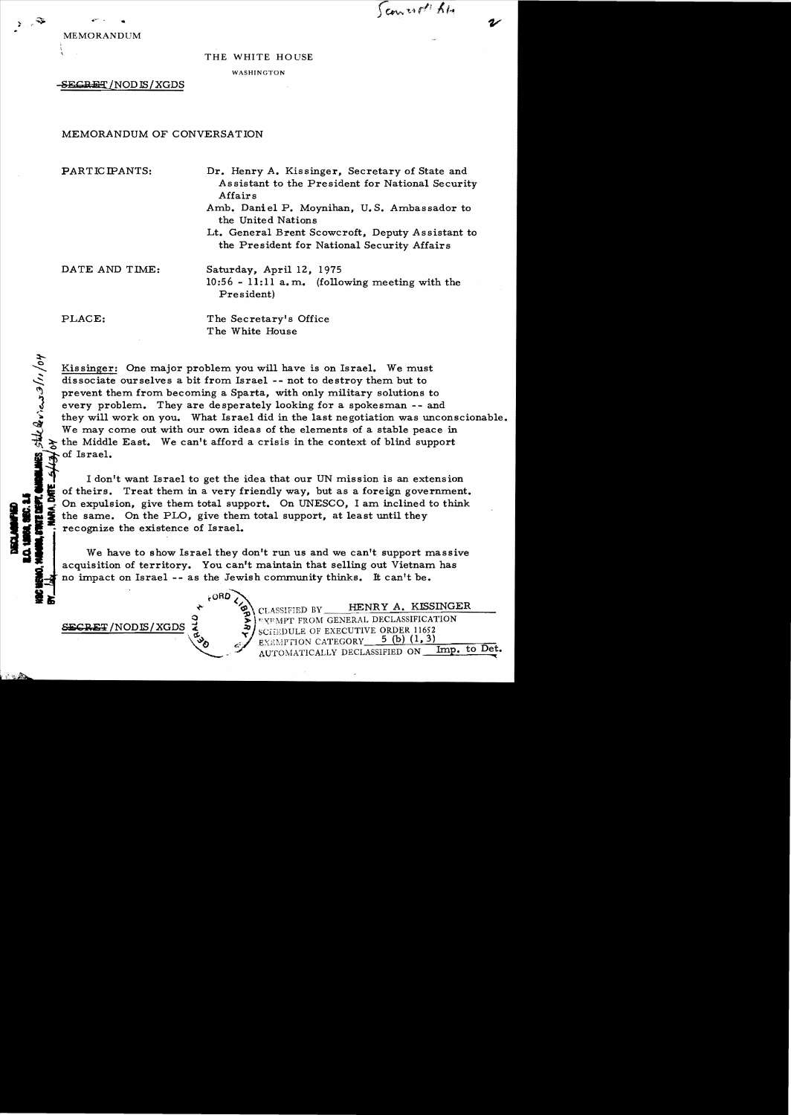Count 64

MEMOR ANDUM

#### THE WHITE HOUSE

WASHINGTON

-SECRET / NOD IS / XGDS

# MEMORANDUM OF CONVERSATION

PARTICIPANTS: Dr. Henry A. Kissinger, Secretary of State and Assistant to the President for National Security Affairs

- Amb. Daniel **P.** Moynihan, U. S. Ambassador to the United Nations
- Lt. General Brent Scowcroft, Deputy Assistant to the President for National Security Affairs

DATE AND TIME: Saturday, April 12, 1975

 $10:56 - 11:11$  a.m. (following meeting with the President)

 $\mathbf{g}$ , stack views  $2/11/04$ 

PLACE: The Secretary's Office T he White House

Kissinger: One major problem you will have is on Israel. We must dissociate ourselves a bit from Israel -- not to destroy them but to prevent them from becoming a Sparta, with only military solutions to every problem. They are desperately looking for a spokesman -- and they will work on you. What Israel did in the last negotiation was unconscionable. We may come out with our own ideas of the elements of a stable peace in the Middle East. We can't afford a crisis in the context of blind support of Israel.

1 don't want Israel to get the idea that our UN mission is an extension<br>I don't want Israel to get the idea that our UN mission is an extension<br>of theirs. Treat them in a very friendly way, but as a foreign governmen<br> $\sum_{n$ I don't want Israel to get the idea that our UN mission is an extension<br>  $\bullet$   $\bullet$   $\bullet$  of theirs. Treat them in a very friendly way, but as a foreign government.  $\begin{array}{ll}\n\bullet & \bullet \\
\bullet & \bullet \\
\bullet & \bullet\n\end{array}$  On expulsion, give them total support. On UNESCO, I am inclined to think<br>  $\begin{array}{ll}\n\bullet & \bullet \\
\bullet & \bullet\n\end{array}$  the same. On the PLO, give them total support, at least until they the same. On the PLO, give them total support, at least until they recognize the existence of Israel.

We have to show Israel they don't run us and we can't support massive . acquisition of territory. You can't maintain that selling out Vietnam has no impact on Israel -- as the Jewish community thinks. It can't be.<br> $.000$ 

CLASSIFIED BY **HENRY A. KISSINGER** "YEMPT FROM GENERAL DECLASSIFICATION SECREa2/NODIS/XGDS\~ *;J.* "" ...:0 SC.'i.·..l.EDU.LE. OF EXECUTIVE ORDER 11652 EXEMPTION CATEGORY 5 (b) (1, 3)<br>AUTOMATICALLY DECLASSIFIED ON Imp. to Det. AUTOMATICALLY DECLASSIFIED ON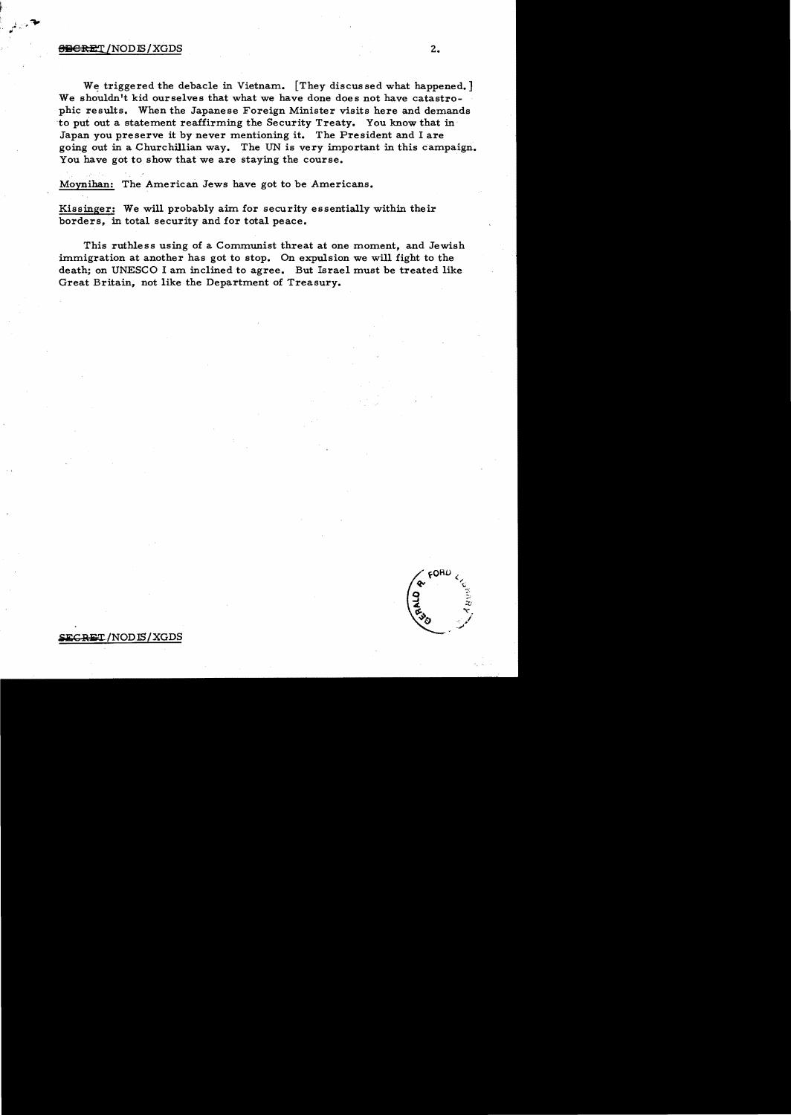## $\Theta$ Bereit / NOD IS / XGDS  $2.$

We triggered the debacle in Vietnam. [They discussed what happened.] We shouldn't kid ourselves that what we have done does not have catastrophic results. When the Japanese Foreign Minister visits here and demands to put out a statement reaffirming the Security Treaty. You know that in Japan you preserve it by never mentioning it. The President and I are going out in a Churchillian way. The UN is very important in this campaign. You have got to show that we are staying the course.

Moynihan: The American Jews have got to be Americans.

Kissinger,: We will probably aim for security essentially within their borders, in total security and for total peace.

This ruthless using of a Communist threat at one moment, and Jewish immigration at another has got to stop. On expulsion we will fight to the death; on UNESCO I am inclined to agree. But Israel must be treated like Great Britain, not like the Department of Treasury.

## **"":Ike** RET *INOD* ISI XGDS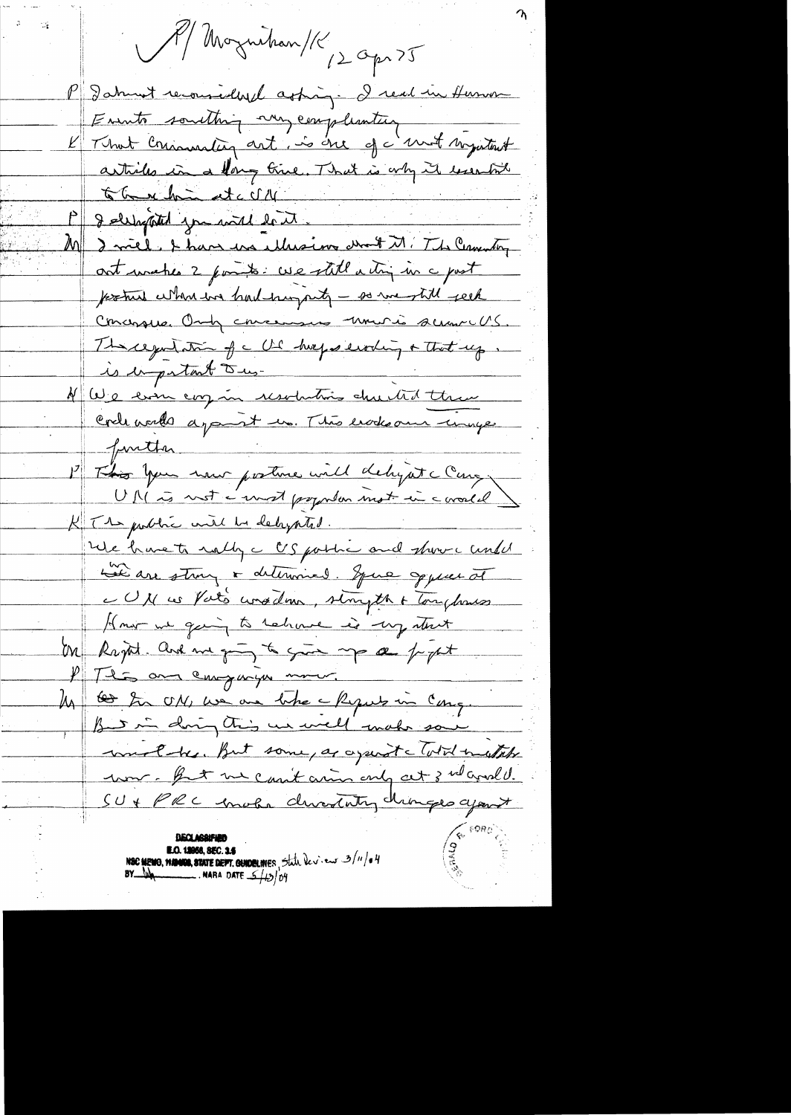N/Morguehan/K 12 Opr 25 P I about reconnectivel asking - I real in Humon Emmts something my compliantier<br>L'Immer Communitiez art, is one of c'emmet singuitant arthiles in a forg time. That is only it lesentite the minute of the COM I ellepted you will lest. I mill. I have use ellersions de FM. The Common  $\frac{1}{2}$ out unable 2 points. We still a try in a past fortune when we had hungarity - so we till rech Concersive Only concernant univia summe US. Theregation of a US hugos evoling + That up.  $\frac{1}{2}$ is important Dus-N We even corz in resolutions du til them Crele world apart un. This erodes au unique function P This you have posture will deligate Cany UM is not é unest papular mot in coronal K Tt public with he deligated. We have to nothy a US portion and show a undel Le are strong & determined. Spire oppeer of CUN us Vato wasdom, simpth & Tonghouses How we gain to rehave is my start Un Rapt and me going to give me a popt P This and companyon more. My <del>les</del> In ON, we are take a Reguls in Cong. But in doing this us well make some work he but some, as against cloted mustable um. But une casit aring only at 3 nd aval U. SU + PRC moter direction driveges agent NSC MEMO, WANNO, STATE DEPT. GUIDELINES, State levi-en 3/11/04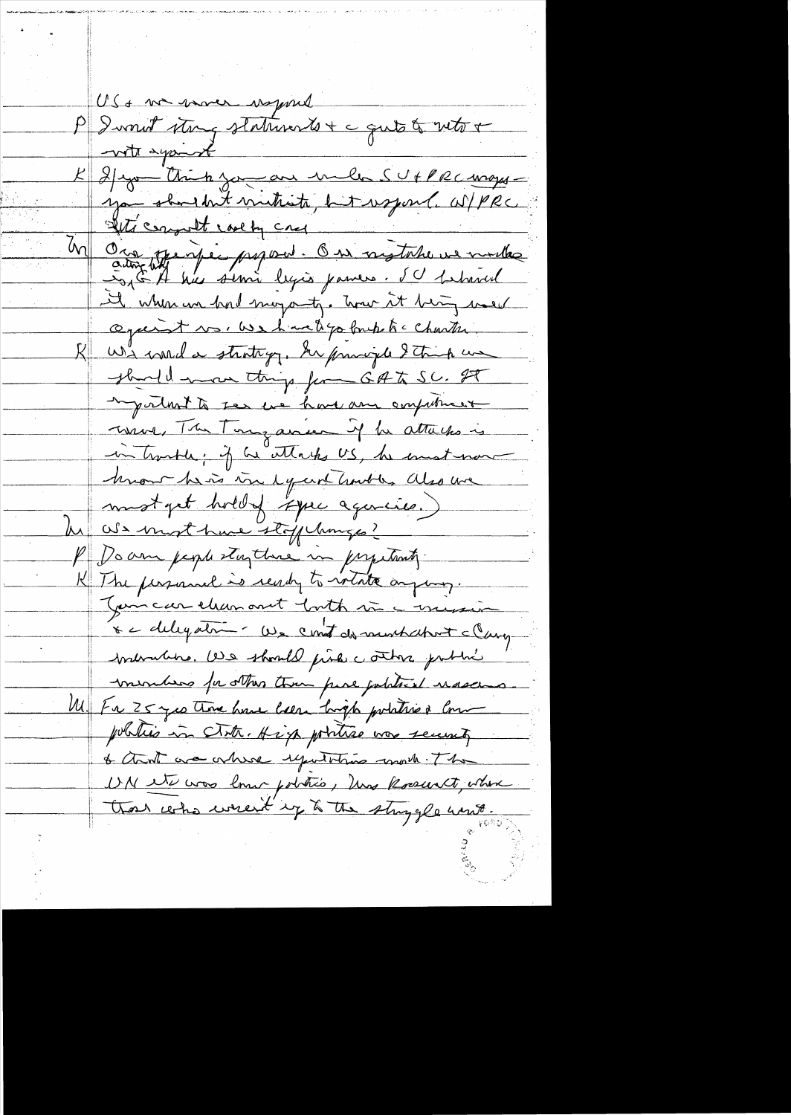US + me mover waggind P Iwnut stay statusents + c quite to with + with against K 2/200 - think zon an under SUFPRC mayoryou shouldn't mutuate, but us pourl. W/PRC With comprobt cool by cry Ora Jernie psycont. On nigtake ve mille it when we had moyanty. Two it big we'r against vs. We have depo bruke to charter We would strating. In provide I truck we should move things from GAT SC. IT myveloat to see we have any computured ussel, The Tour ance if he attaches is in tractle; if he attacks US, he execut now hnow he is in equit harbles also we mot pet holdy spec agencies.) he als most have stofplanges? P Doam people stay there in propetinty. K The personnel is ready to intate anyway. Jamcar chanonit both since mission 8 c delegation - We count do murchatout clarg mermains. De should prise contra pation mercheos for others than pine joblical nascens. Ul Fa 25 yes there have been high polities of Com pobilis in cloth. High portrae was security & that we where exputations would . The UN et was lour pobles, has kossert, where that who weren't up to the strangle wint.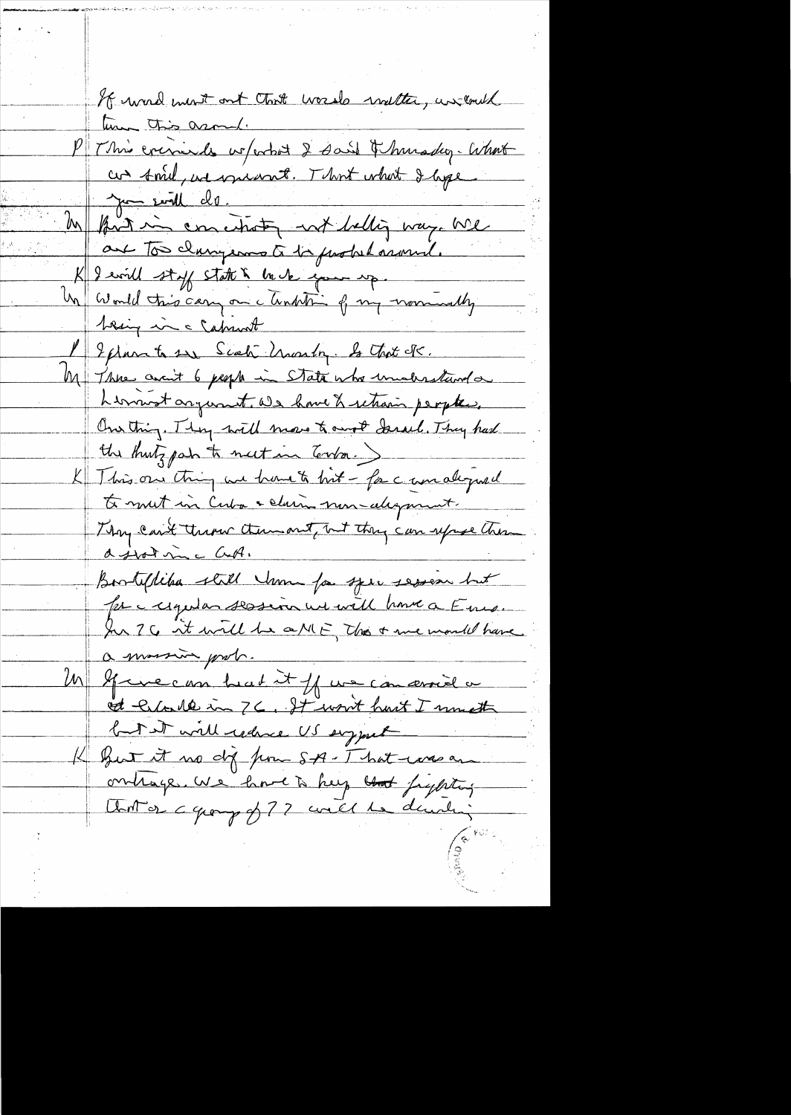If word most out that words walter, un could time this asomal. P This criminales we ferthet 2 said & hunsday- What cas sonie, au vouevant. That what I age June seville de M fort in conciliation not belling way. We are too clamperos à la probabazand. K I will stoff state & back gove up.<br>Un would this cary on a tunkiting of my warrivedby 1 Ephan to sur Scoti Unastry. Is that Is. M Three avant 6 people in State who unalesstand on himment argument. We have & retrain peopter. One thing. They will move to most Sarach. They had K This one thing we have to hit - for c unallywel te mut in Cuba + claim non-alignment. Thy can't there them out, nt they can uppe theme Bostiflika still Un for spec sesson but for a regular session we will have a Ene. In 76 it will be a MF, This + me mould have a morsin prob. Un Gruecom but it of un concerned a of Eller 10 in 76. It won't hast I must but it will reduce US support K But it we did from SA-That was an onlinge. We have a help that fighting Unit or a group of 77 will be durching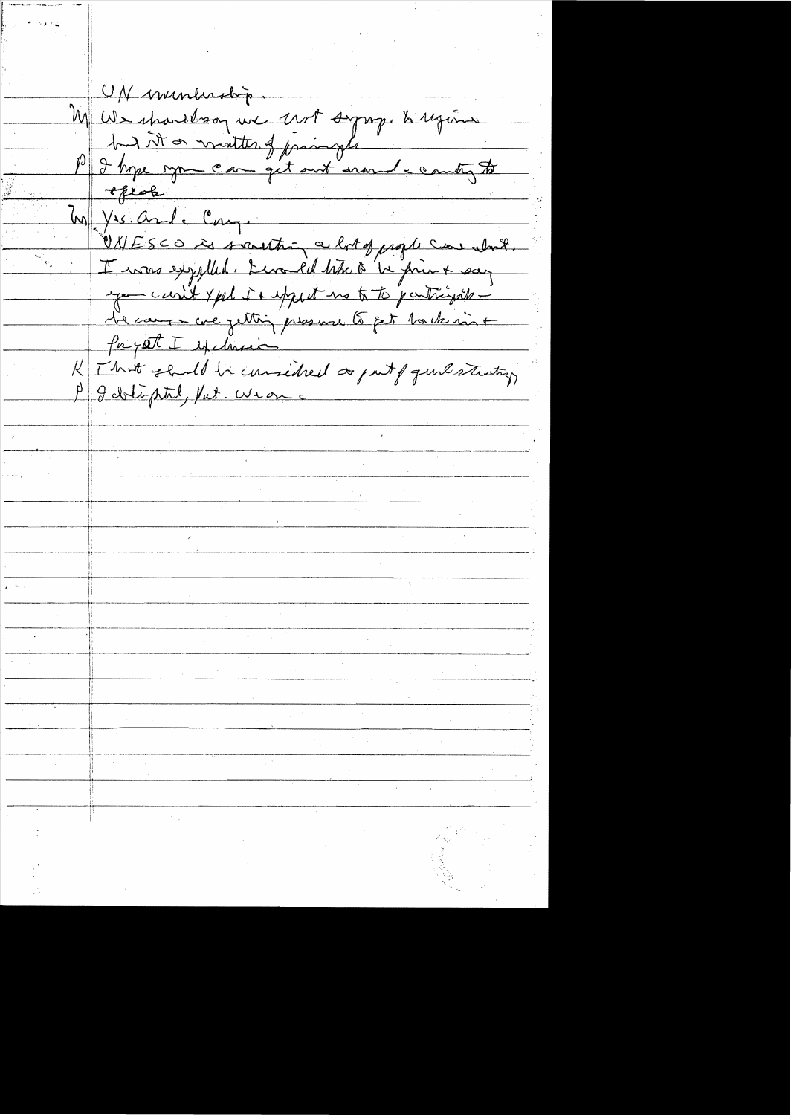UN inundership. M We spartbog une 2007 symp. & region but it or monter of joiningle P I hope open can get out monde county to optale  $\omega$  yes and component ONESCO is southing a lot of psoph can slowly I was expelled. Levald tike a 'be print sur you can't yest it uppet no to to participate l'e cause ave jetting presence to get Payet I exclusive K Thit shall be consided as just que sturting P J dolipted, Put. Wear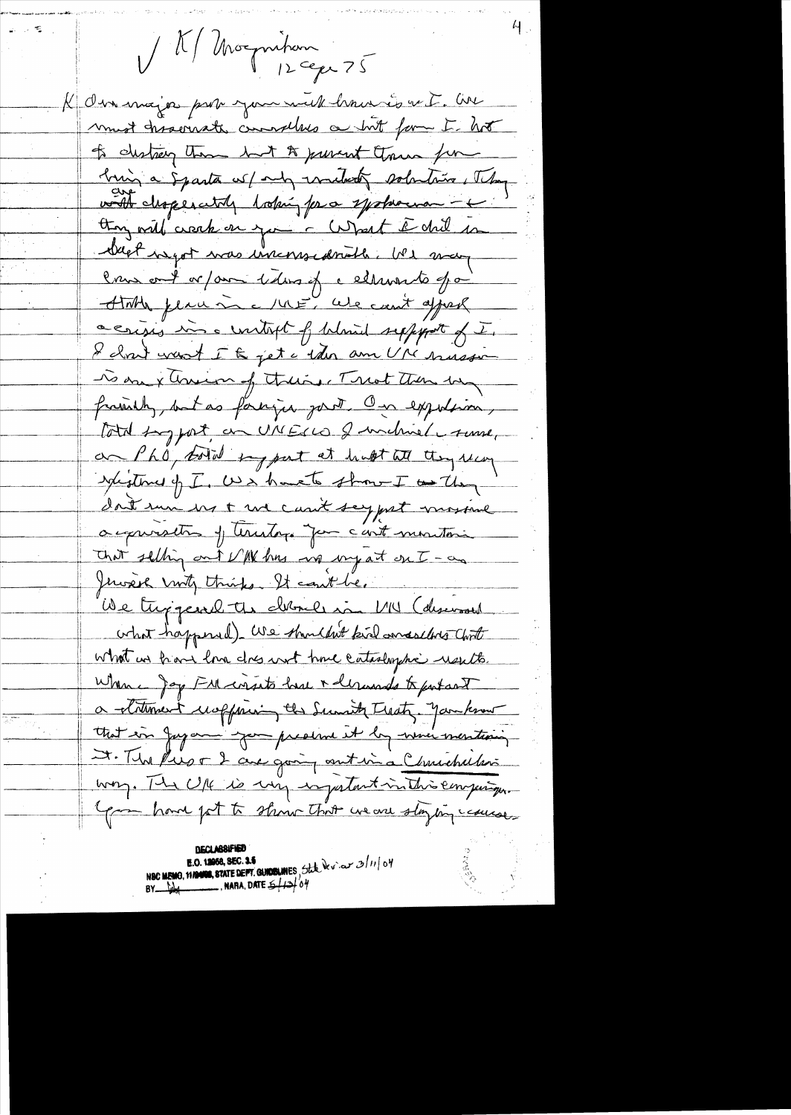1/1 Morgnition

K den major par you mil hour is a t. Ar must traverent currylles a but form I hot to distrey them but to prevent them for bing a Sparta w/ my unitedly solutions, They with disperatily hoping for a systeman thoughout are the contract of the me bleat negot was inconsiderable. We way Crux out or / aux 1 dans ef cellurants pai ATTAN place in a little can't appeal acrisis in a unitaget of bland support of I. I cloud want I to jet a 1 der am UM suissin To one x Assign of theirs. Treat then by frainly, but as foreign gout On exposition, total tog pat, on UNECLO & unchine ( tume, an Pho, total sy part at hunt at they recon Saistine of I, USA have to show I as they don't sure us + we can't say just mosive acquiration of territors for c'ent montain that selling out VM has no my at ont-as Jerosek mitz thinks. It cont be. We trygeard the chance in MU (deservant what happened). We shouldn't kill and selling Chort What us frame love does not have catashyphic usuits. When a gap FM corsito have inderwards to putant a titument useffrien the Sunity Treaty. Jankson that in Jayan you predent it by when mentioning I. The Pres of 2 are going out in a Christmation way. The U/4 is my injustant in this empiryon Gran hand fat to show that we are staying cause.

**UECT VESTER E.O. 12058, SEC. 15**<br>NSC MEMO, 11/2008, STATE DEPT. GUIDELINES, State de v. av 3/11/04 BY  $\frac{1}{2}$  MARA, DATE  $\frac{1}{2}$  /2/04